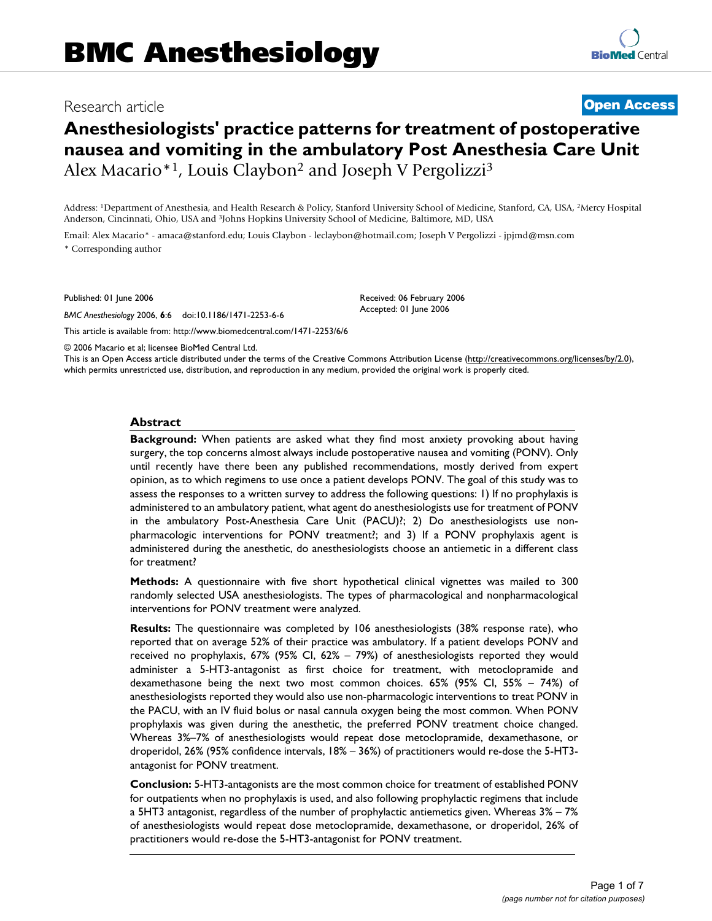## Research article **[Open Access](http://www.biomedcentral.com/info/about/charter/)**

# **Anesthesiologists' practice patterns for treatment of postoperative nausea and vomiting in the ambulatory Post Anesthesia Care Unit** Alex Macario\*1, Louis Claybon2 and Joseph V Pergolizzi3

Address: 1Department of Anesthesia, and Health Research & Policy, Stanford University School of Medicine, Stanford, CA, USA, 2Mercy Hospital Anderson, Cincinnati, Ohio, USA and 3Johns Hopkins University School of Medicine, Baltimore, MD, USA

Email: Alex Macario\* - amaca@stanford.edu; Louis Claybon - leclaybon@hotmail.com; Joseph V Pergolizzi - jpjmd@msn.com \* Corresponding author

Published: 01 June 2006

*BMC Anesthesiology* 2006, **6**:6 doi:10.1186/1471-2253-6-6

[This article is available from: http://www.biomedcentral.com/1471-2253/6/6](http://www.biomedcentral.com/1471-2253/6/6)

Received: 06 February 2006 Accepted: 01 June 2006

© 2006 Macario et al; licensee BioMed Central Ltd.

This is an Open Access article distributed under the terms of the Creative Commons Attribution License [\(http://creativecommons.org/licenses/by/2.0\)](http://creativecommons.org/licenses/by/2.0), which permits unrestricted use, distribution, and reproduction in any medium, provided the original work is properly cited.

#### **Abstract**

**Background:** When patients are asked what they find most anxiety provoking about having surgery, the top concerns almost always include postoperative nausea and vomiting (PONV). Only until recently have there been any published recommendations, mostly derived from expert opinion, as to which regimens to use once a patient develops PONV. The goal of this study was to assess the responses to a written survey to address the following questions: 1) If no prophylaxis is administered to an ambulatory patient, what agent do anesthesiologists use for treatment of PONV in the ambulatory Post-Anesthesia Care Unit (PACU)?; 2) Do anesthesiologists use nonpharmacologic interventions for PONV treatment?; and 3) If a PONV prophylaxis agent is administered during the anesthetic, do anesthesiologists choose an antiemetic in a different class for treatment?

**Methods:** A questionnaire with five short hypothetical clinical vignettes was mailed to 300 randomly selected USA anesthesiologists. The types of pharmacological and nonpharmacological interventions for PONV treatment were analyzed.

**Results:** The questionnaire was completed by 106 anesthesiologists (38% response rate), who reported that on average 52% of their practice was ambulatory. If a patient develops PONV and received no prophylaxis, 67% (95% CI, 62% – 79%) of anesthesiologists reported they would administer a 5-HT3-antagonist as first choice for treatment, with metoclopramide and dexamethasone being the next two most common choices. 65% (95% CI, 55% – 74%) of anesthesiologists reported they would also use non-pharmacologic interventions to treat PONV in the PACU, with an IV fluid bolus or nasal cannula oxygen being the most common. When PONV prophylaxis was given during the anesthetic, the preferred PONV treatment choice changed. Whereas 3%–7% of anesthesiologists would repeat dose metoclopramide, dexamethasone, or droperidol, 26% (95% confidence intervals, 18% – 36%) of practitioners would re-dose the 5-HT3 antagonist for PONV treatment.

**Conclusion:** 5-HT3-antagonists are the most common choice for treatment of established PONV for outpatients when no prophylaxis is used, and also following prophylactic regimens that include a 5HT3 antagonist, regardless of the number of prophylactic antiemetics given. Whereas 3% – 7% of anesthesiologists would repeat dose metoclopramide, dexamethasone, or droperidol, 26% of practitioners would re-dose the 5-HT3-antagonist for PONV treatment.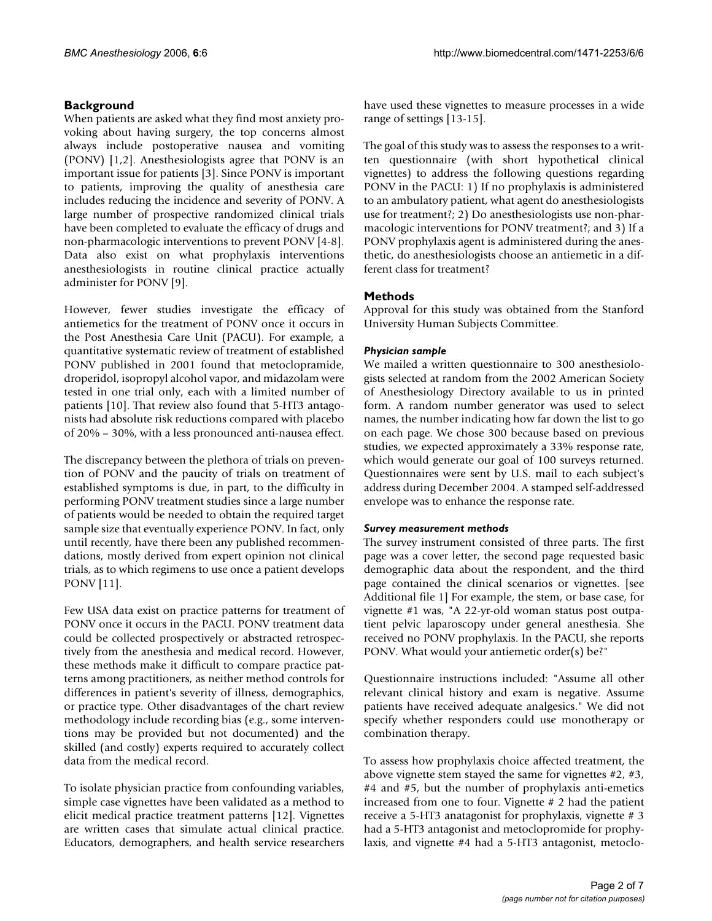### **Background**

When patients are asked what they find most anxiety provoking about having surgery, the top concerns almost always include postoperative nausea and vomiting (PONV) [1,2]. Anesthesiologists agree that PONV is an important issue for patients [3]. Since PONV is important to patients, improving the quality of anesthesia care includes reducing the incidence and severity of PONV. A large number of prospective randomized clinical trials have been completed to evaluate the efficacy of drugs and non-pharmacologic interventions to prevent PONV [4-8]. Data also exist on what prophylaxis interventions anesthesiologists in routine clinical practice actually administer for PONV [9].

However, fewer studies investigate the efficacy of antiemetics for the treatment of PONV once it occurs in the Post Anesthesia Care Unit (PACU). For example, a quantitative systematic review of treatment of established PONV published in 2001 found that metoclopramide, droperidol, isopropyl alcohol vapor, and midazolam were tested in one trial only, each with a limited number of patients [10]. That review also found that 5-HT3 antagonists had absolute risk reductions compared with placebo of 20% – 30%, with a less pronounced anti-nausea effect.

The discrepancy between the plethora of trials on prevention of PONV and the paucity of trials on treatment of established symptoms is due, in part, to the difficulty in performing PONV treatment studies since a large number of patients would be needed to obtain the required target sample size that eventually experience PONV. In fact, only until recently, have there been any published recommendations, mostly derived from expert opinion not clinical trials, as to which regimens to use once a patient develops PONV [11].

Few USA data exist on practice patterns for treatment of PONV once it occurs in the PACU. PONV treatment data could be collected prospectively or abstracted retrospectively from the anesthesia and medical record. However, these methods make it difficult to compare practice patterns among practitioners, as neither method controls for differences in patient's severity of illness, demographics, or practice type. Other disadvantages of the chart review methodology include recording bias (e.g., some interventions may be provided but not documented) and the skilled (and costly) experts required to accurately collect data from the medical record.

To isolate physician practice from confounding variables, simple case vignettes have been validated as a method to elicit medical practice treatment patterns [12]. Vignettes are written cases that simulate actual clinical practice. Educators, demographers, and health service researchers have used these vignettes to measure processes in a wide range of settings [13-15].

The goal of this study was to assess the responses to a written questionnaire (with short hypothetical clinical vignettes) to address the following questions regarding PONV in the PACU: 1) If no prophylaxis is administered to an ambulatory patient, what agent do anesthesiologists use for treatment?; 2) Do anesthesiologists use non-pharmacologic interventions for PONV treatment?; and 3) If a PONV prophylaxis agent is administered during the anesthetic, do anesthesiologists choose an antiemetic in a different class for treatment?

#### **Methods**

Approval for this study was obtained from the Stanford University Human Subjects Committee.

#### *Physician sample*

We mailed a written questionnaire to 300 anesthesiologists selected at random from the 2002 American Society of Anesthesiology Directory available to us in printed form. A random number generator was used to select names, the number indicating how far down the list to go on each page. We chose 300 because based on previous studies, we expected approximately a 33% response rate, which would generate our goal of 100 surveys returned. Questionnaires were sent by U.S. mail to each subject's address during December 2004. A stamped self-addressed envelope was to enhance the response rate.

#### *Survey measurement methods*

The survey instrument consisted of three parts. The first page was a cover letter, the second page requested basic demographic data about the respondent, and the third page contained the clinical scenarios or vignettes. [see Additional file 1] For example, the stem, or base case, for vignette #1 was, "A 22-yr-old woman status post outpatient pelvic laparoscopy under general anesthesia. She received no PONV prophylaxis. In the PACU, she reports PONV. What would your antiemetic order(s) be?"

Questionnaire instructions included: "Assume all other relevant clinical history and exam is negative. Assume patients have received adequate analgesics." We did not specify whether responders could use monotherapy or combination therapy.

To assess how prophylaxis choice affected treatment, the above vignette stem stayed the same for vignettes #2, #3, #4 and #5, but the number of prophylaxis anti-emetics increased from one to four. Vignette # 2 had the patient receive a 5-HT3 anatagonist for prophylaxis, vignette # 3 had a 5-HT3 antagonist and metoclopromide for prophylaxis, and vignette #4 had a 5-HT3 antagonist, metoclo-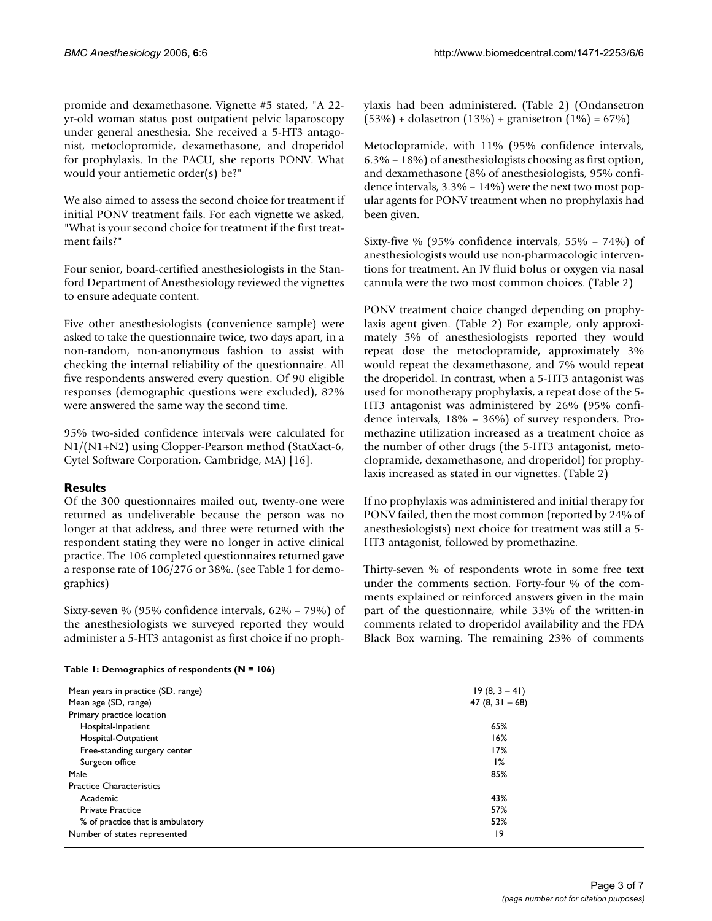promide and dexamethasone. Vignette #5 stated, "A 22 yr-old woman status post outpatient pelvic laparoscopy under general anesthesia. She received a 5-HT3 antagonist, metoclopromide, dexamethasone, and droperidol for prophylaxis. In the PACU, she reports PONV. What would your antiemetic order(s) be?"

We also aimed to assess the second choice for treatment if initial PONV treatment fails. For each vignette we asked, "What is your second choice for treatment if the first treatment fails?"

Four senior, board-certified anesthesiologists in the Stanford Department of Anesthesiology reviewed the vignettes to ensure adequate content.

Five other anesthesiologists (convenience sample) were asked to take the questionnaire twice, two days apart, in a non-random, non-anonymous fashion to assist with checking the internal reliability of the questionnaire. All five respondents answered every question. Of 90 eligible responses (demographic questions were excluded), 82% were answered the same way the second time.

95% two-sided confidence intervals were calculated for N1/(N1+N2) using Clopper-Pearson method (StatXact-6, Cytel Software Corporation, Cambridge, MA) [16].

### **Results**

Of the 300 questionnaires mailed out, twenty-one were returned as undeliverable because the person was no longer at that address, and three were returned with the respondent stating they were no longer in active clinical practice. The 106 completed questionnaires returned gave a response rate of 106/276 or 38%. (see Table 1 for demographics)

Sixty-seven % (95% confidence intervals, 62% – 79%) of the anesthesiologists we surveyed reported they would administer a 5-HT3 antagonist as first choice if no prophylaxis had been administered. (Table 2) (Ondansetron  $(53%) + \text{dola}$ setron  $(13%) + \text{gran}$  isetron  $(1%) = 67%$ 

Metoclopramide, with 11% (95% confidence intervals, 6.3% – 18%) of anesthesiologists choosing as first option, and dexamethasone (8% of anesthesiologists, 95% confidence intervals, 3.3% – 14%) were the next two most popular agents for PONV treatment when no prophylaxis had been given.

Sixty-five % (95% confidence intervals, 55% – 74%) of anesthesiologists would use non-pharmacologic interventions for treatment. An IV fluid bolus or oxygen via nasal cannula were the two most common choices. (Table 2)

PONV treatment choice changed depending on prophylaxis agent given. (Table 2) For example, only approximately 5% of anesthesiologists reported they would repeat dose the metoclopramide, approximately 3% would repeat the dexamethasone, and 7% would repeat the droperidol. In contrast, when a 5-HT3 antagonist was used for monotherapy prophylaxis, a repeat dose of the 5- HT3 antagonist was administered by 26% (95% confidence intervals, 18% – 36%) of survey responders. Promethazine utilization increased as a treatment choice as the number of other drugs (the 5-HT3 antagonist, metoclopramide, dexamethasone, and droperidol) for prophylaxis increased as stated in our vignettes. (Table 2)

If no prophylaxis was administered and initial therapy for PONV failed, then the most common (reported by 24% of anesthesiologists) next choice for treatment was still a 5- HT3 antagonist, followed by promethazine.

Thirty-seven % of respondents wrote in some free text under the comments section. Forty-four % of the comments explained or reinforced answers given in the main part of the questionnaire, while 33% of the written-in comments related to droperidol availability and the FDA Black Box warning. The remaining 23% of comments

| Mean years in practice (SD, range) | $19(8, 3 - 41)$  |
|------------------------------------|------------------|
| Mean age (SD, range)               | $47(8, 31 - 68)$ |
| Primary practice location          |                  |
| Hospital-Inpatient                 | 65%              |
| Hospital-Outpatient                | 16%              |
| Free-standing surgery center       | 17%              |
| Surgeon office                     | 1%               |
| Male                               | 85%              |
| <b>Practice Characteristics</b>    |                  |
| Academic                           | 43%              |
| <b>Private Practice</b>            | 57%              |
| % of practice that is ambulatory   | 52%              |
| Number of states represented       | 19               |

#### **Table 1: Demographics of respondents (N = 106)**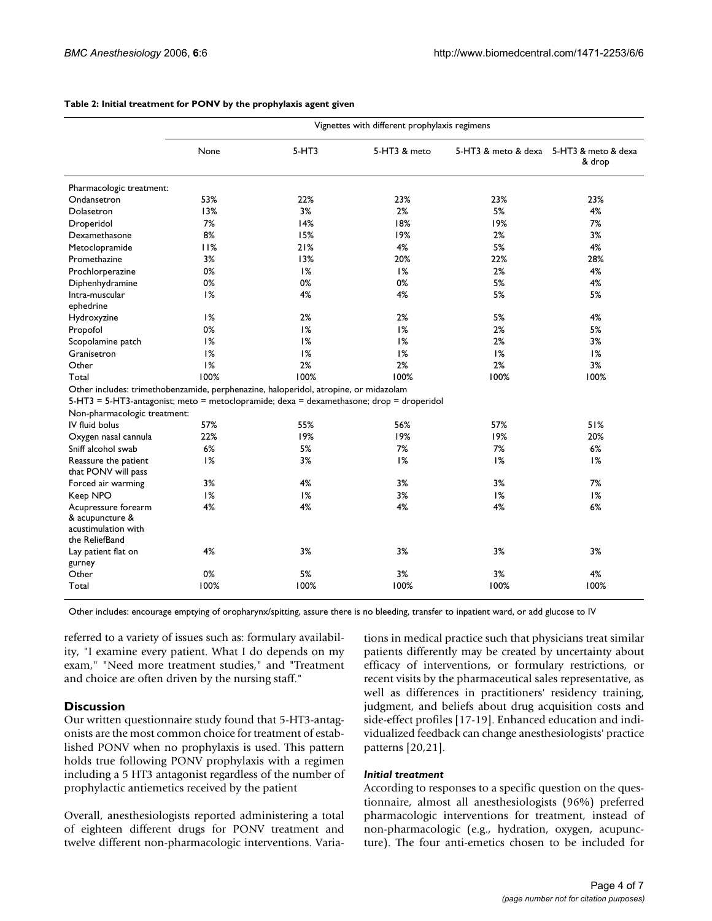|                                                                                          | Vignettes with different prophylaxis regimens |       |              |                                         |        |  |  |
|------------------------------------------------------------------------------------------|-----------------------------------------------|-------|--------------|-----------------------------------------|--------|--|--|
|                                                                                          | None                                          | 5-HT3 | 5-HT3 & meto | 5-HT3 & meto & dexa 5-HT3 & meto & dexa | & drop |  |  |
| Pharmacologic treatment:                                                                 |                                               |       |              |                                         |        |  |  |
| Ondansetron                                                                              | 53%                                           | 22%   | 23%          | 23%                                     | 23%    |  |  |
| Dolasetron                                                                               | 13%                                           | 3%    | 2%           | 5%                                      | 4%     |  |  |
| Droperidol                                                                               | 7%                                            | 14%   | 18%          | 19%                                     | 7%     |  |  |
| Dexamethasone                                                                            | 8%                                            | 15%   | 19%          | 2%                                      | 3%     |  |  |
| Metoclopramide                                                                           | 11%                                           | 21%   | 4%           | 5%                                      | 4%     |  |  |
| Promethazine                                                                             | 3%                                            | 13%   | 20%          | 22%                                     | 28%    |  |  |
| Prochlorperazine                                                                         | 0%                                            | 1%    | 1%           | 2%                                      | 4%     |  |  |
| Diphenhydramine                                                                          | 0%                                            | 0%    | 0%           | 5%                                      | 4%     |  |  |
| Intra-muscular<br>ephedrine                                                              | 1%                                            | 4%    | 4%           | 5%                                      | 5%     |  |  |
| Hydroxyzine                                                                              | 1%                                            | 2%    | 2%           | 5%                                      | 4%     |  |  |
| Propofol                                                                                 | 0%                                            | 1%    | 1%           | 2%                                      | 5%     |  |  |
| Scopolamine patch                                                                        | 1%                                            | 1%    | 1%           | 2%                                      | 3%     |  |  |
| Granisetron                                                                              | 1%                                            | 1%    | 1%           | 1%                                      | 1%     |  |  |
| Other                                                                                    | 1%                                            | 2%    | 2%           | 2%                                      | 3%     |  |  |
| Total                                                                                    | 100%                                          | 100%  | 100%         | 100%                                    | 100%   |  |  |
| Other includes: trimethobenzamide, perphenazine, haloperidol, atropine, or midazolam     |                                               |       |              |                                         |        |  |  |
| 5-HT3 = 5-HT3-antagonist; meto = metoclopramide; dexa = dexamethasone; drop = droperidol |                                               |       |              |                                         |        |  |  |
| Non-pharmacologic treatment:                                                             |                                               |       |              |                                         |        |  |  |
| IV fluid bolus                                                                           | 57%                                           | 55%   | 56%          | 57%                                     | 51%    |  |  |
| Oxygen nasal cannula                                                                     | 22%                                           | 19%   | 19%          | 19%                                     | 20%    |  |  |
| Sniff alcohol swab                                                                       | 6%                                            | 5%    | 7%           | 7%                                      | 6%     |  |  |
| Reassure the patient<br>that PONV will pass                                              | 1%                                            | 3%    | 1%           | 1%                                      | 1%     |  |  |
| Forced air warming                                                                       | 3%                                            | 4%    | 3%           | 3%                                      | 7%     |  |  |
| Keep NPO                                                                                 | 1%                                            | 1%    | 3%           | 1%                                      | 1%     |  |  |
| Acupressure forearm                                                                      | 4%                                            | 4%    | 4%           | 4%                                      | 6%     |  |  |
| & acupuncture &<br>acustimulation with<br>the ReliefBand                                 |                                               |       |              |                                         |        |  |  |
| Lay patient flat on<br>gurney                                                            | 4%                                            | 3%    | 3%           | 3%                                      | 3%     |  |  |
| Other                                                                                    | 0%                                            | 5%    | 3%           | 3%                                      | 4%     |  |  |
| Total                                                                                    | 100%                                          | 100%  | 100%         | 100%                                    | 100%   |  |  |

**Table 2: Initial treatment for PONV by the prophylaxis agent given**

Other includes: encourage emptying of oropharynx/spitting, assure there is no bleeding, transfer to inpatient ward, or add glucose to IV

referred to a variety of issues such as: formulary availability, "I examine every patient. What I do depends on my exam," "Need more treatment studies," and "Treatment and choice are often driven by the nursing staff."

#### **Discussion**

Our written questionnaire study found that 5-HT3-antagonists are the most common choice for treatment of established PONV when no prophylaxis is used. This pattern holds true following PONV prophylaxis with a regimen including a 5 HT3 antagonist regardless of the number of prophylactic antiemetics received by the patient

Overall, anesthesiologists reported administering a total of eighteen different drugs for PONV treatment and twelve different non-pharmacologic interventions. Variations in medical practice such that physicians treat similar patients differently may be created by uncertainty about efficacy of interventions, or formulary restrictions, or recent visits by the pharmaceutical sales representative, as well as differences in practitioners' residency training, judgment, and beliefs about drug acquisition costs and side-effect profiles [17-19]. Enhanced education and individualized feedback can change anesthesiologists' practice patterns [20,21].

#### *Initial treatment*

According to responses to a specific question on the questionnaire, almost all anesthesiologists (96%) preferred pharmacologic interventions for treatment, instead of non-pharmacologic (e.g., hydration, oxygen, acupuncture). The four anti-emetics chosen to be included for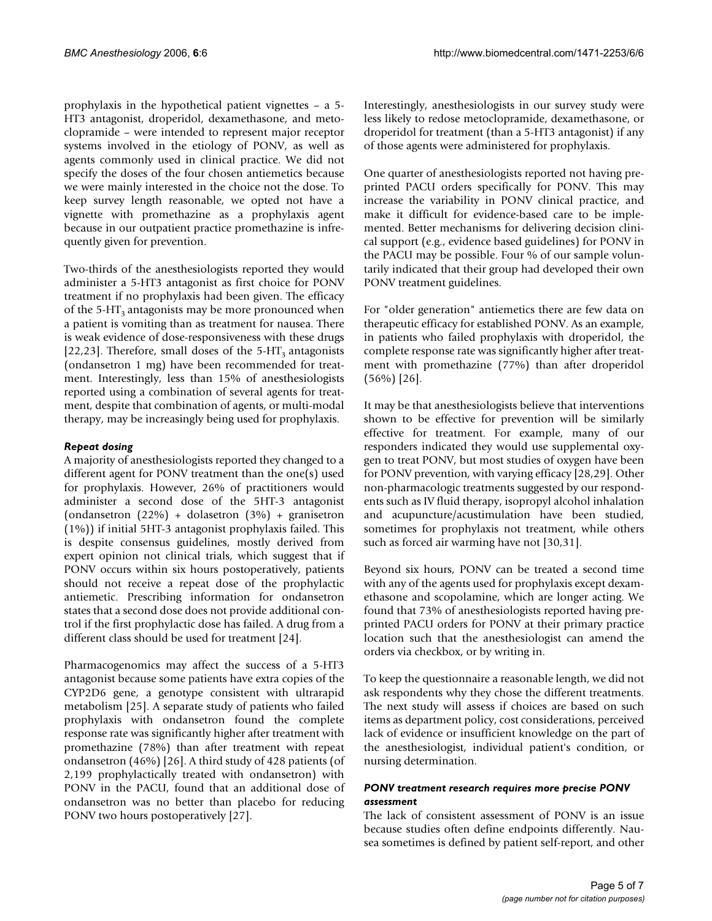prophylaxis in the hypothetical patient vignettes – a 5- HT3 antagonist, droperidol, dexamethasone, and metoclopramide – were intended to represent major receptor systems involved in the etiology of PONV, as well as agents commonly used in clinical practice. We did not specify the doses of the four chosen antiemetics because we were mainly interested in the choice not the dose. To keep survey length reasonable, we opted not have a vignette with promethazine as a prophylaxis agent because in our outpatient practice promethazine is infrequently given for prevention.

Two-thirds of the anesthesiologists reported they would administer a 5-HT3 antagonist as first choice for PONV treatment if no prophylaxis had been given. The efficacy of the 5-HT<sub>3</sub> antagonists may be more pronounced when a patient is vomiting than as treatment for nausea. There is weak evidence of dose-responsiveness with these drugs [22,23]. Therefore, small doses of the  $5-HT<sub>3</sub>$  antagonists (ondansetron 1 mg) have been recommended for treatment. Interestingly, less than 15% of anesthesiologists reported using a combination of several agents for treatment, despite that combination of agents, or multi-modal therapy, may be increasingly being used for prophylaxis.

#### *Repeat dosing*

A majority of anesthesiologists reported they changed to a different agent for PONV treatment than the one(s) used for prophylaxis. However, 26% of practitioners would administer a second dose of the 5HT-3 antagonist (ondansetron  $(22%)$  + dolasetron  $(3%)$  + granisetron (1%)) if initial 5HT-3 antagonist prophylaxis failed. This is despite consensus guidelines, mostly derived from expert opinion not clinical trials, which suggest that if PONV occurs within six hours postoperatively, patients should not receive a repeat dose of the prophylactic antiemetic. Prescribing information for ondansetron states that a second dose does not provide additional control if the first prophylactic dose has failed. A drug from a different class should be used for treatment [24].

Pharmacogenomics may affect the success of a 5-HT3 antagonist because some patients have extra copies of the CYP2D6 gene, a genotype consistent with ultrarapid metabolism [25]. A separate study of patients who failed prophylaxis with ondansetron found the complete response rate was significantly higher after treatment with promethazine (78%) than after treatment with repeat ondansetron (46%) [26]. A third study of 428 patients (of 2,199 prophylactically treated with ondansetron) with PONV in the PACU, found that an additional dose of ondansetron was no better than placebo for reducing PONV two hours postoperatively [27].

Interestingly, anesthesiologists in our survey study were less likely to redose metoclopramide, dexamethasone, or droperidol for treatment (than a 5-HT3 antagonist) if any of those agents were administered for prophylaxis.

One quarter of anesthesiologists reported not having preprinted PACU orders specifically for PONV. This may increase the variability in PONV clinical practice, and make it difficult for evidence-based care to be implemented. Better mechanisms for delivering decision clinical support (e.g., evidence based guidelines) for PONV in the PACU may be possible. Four % of our sample voluntarily indicated that their group had developed their own PONV treatment guidelines.

For "older generation" antiemetics there are few data on therapeutic efficacy for established PONV. As an example, in patients who failed prophylaxis with droperidol, the complete response rate was significantly higher after treatment with promethazine (77%) than after droperidol (56%) [26].

It may be that anesthesiologists believe that interventions shown to be effective for prevention will be similarly effective for treatment. For example, many of our responders indicated they would use supplemental oxygen to treat PONV, but most studies of oxygen have been for PONV prevention, with varying efficacy [28,29]. Other non-pharmacologic treatments suggested by our respondents such as IV fluid therapy, isopropyl alcohol inhalation and acupuncture/acustimulation have been studied, sometimes for prophylaxis not treatment, while others such as forced air warming have not [30,31].

Beyond six hours, PONV can be treated a second time with any of the agents used for prophylaxis except dexamethasone and scopolamine, which are longer acting. We found that 73% of anesthesiologists reported having preprinted PACU orders for PONV at their primary practice location such that the anesthesiologist can amend the orders via checkbox, or by writing in.

To keep the questionnaire a reasonable length, we did not ask respondents why they chose the different treatments. The next study will assess if choices are based on such items as department policy, cost considerations, perceived lack of evidence or insufficient knowledge on the part of the anesthesiologist, individual patient's condition, or nursing determination.

#### *PONV treatment research requires more precise PONV assessment*

The lack of consistent assessment of PONV is an issue because studies often define endpoints differently. Nausea sometimes is defined by patient self-report, and other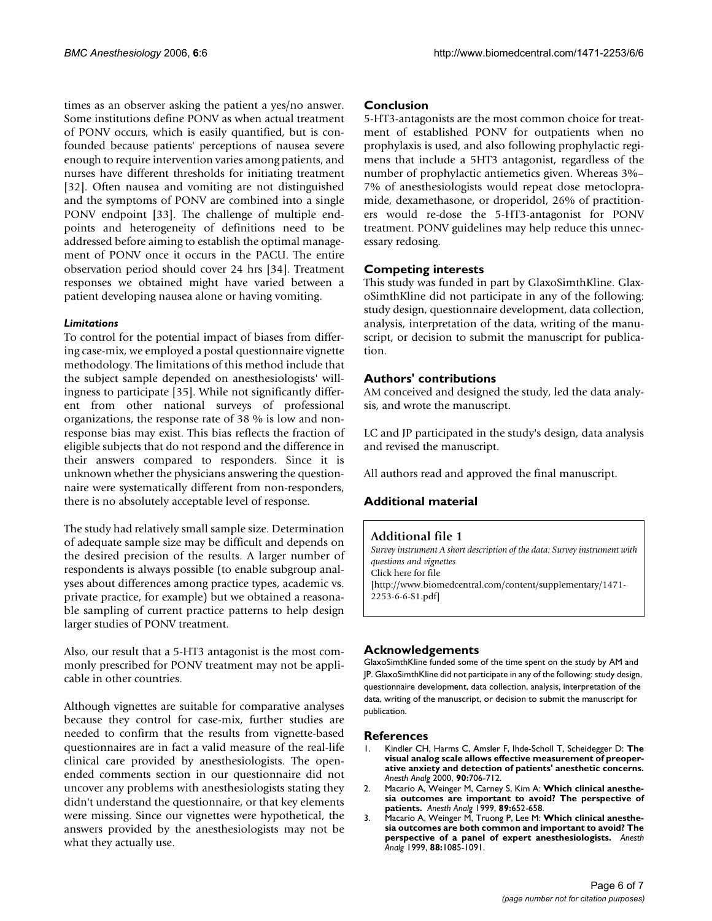times as an observer asking the patient a yes/no answer. Some institutions define PONV as when actual treatment of PONV occurs, which is easily quantified, but is confounded because patients' perceptions of nausea severe enough to require intervention varies among patients, and nurses have different thresholds for initiating treatment [32]. Often nausea and vomiting are not distinguished and the symptoms of PONV are combined into a single PONV endpoint [33]. The challenge of multiple endpoints and heterogeneity of definitions need to be addressed before aiming to establish the optimal management of PONV once it occurs in the PACU. The entire observation period should cover 24 hrs [34]. Treatment responses we obtained might have varied between a patient developing nausea alone or having vomiting.

#### *Limitations*

To control for the potential impact of biases from differing case-mix, we employed a postal questionnaire vignette methodology. The limitations of this method include that the subject sample depended on anesthesiologists' willingness to participate [35]. While not significantly different from other national surveys of professional organizations, the response rate of 38 % is low and nonresponse bias may exist. This bias reflects the fraction of eligible subjects that do not respond and the difference in their answers compared to responders. Since it is unknown whether the physicians answering the questionnaire were systematically different from non-responders, there is no absolutely acceptable level of response.

The study had relatively small sample size. Determination of adequate sample size may be difficult and depends on the desired precision of the results. A larger number of respondents is always possible (to enable subgroup analyses about differences among practice types, academic vs. private practice, for example) but we obtained a reasonable sampling of current practice patterns to help design larger studies of PONV treatment.

Also, our result that a 5-HT3 antagonist is the most commonly prescribed for PONV treatment may not be applicable in other countries.

Although vignettes are suitable for comparative analyses because they control for case-mix, further studies are needed to confirm that the results from vignette-based questionnaires are in fact a valid measure of the real-life clinical care provided by anesthesiologists. The openended comments section in our questionnaire did not uncover any problems with anesthesiologists stating they didn't understand the questionnaire, or that key elements were missing. Since our vignettes were hypothetical, the answers provided by the anesthesiologists may not be what they actually use.

#### **Conclusion**

5-HT3-antagonists are the most common choice for treatment of established PONV for outpatients when no prophylaxis is used, and also following prophylactic regimens that include a 5HT3 antagonist, regardless of the number of prophylactic antiemetics given. Whereas 3%– 7% of anesthesiologists would repeat dose metoclopramide, dexamethasone, or droperidol, 26% of practitioners would re-dose the 5-HT3-antagonist for PONV treatment. PONV guidelines may help reduce this unnecessary redosing.

#### **Competing interests**

This study was funded in part by GlaxoSimthKline. GlaxoSimthKline did not participate in any of the following: study design, questionnaire development, data collection, analysis, interpretation of the data, writing of the manuscript, or decision to submit the manuscript for publication.

#### **Authors' contributions**

AM conceived and designed the study, led the data analysis, and wrote the manuscript.

LC and JP participated in the study's design, data analysis and revised the manuscript.

All authors read and approved the final manuscript.

### **Additional material**

**Additional file 1** *Survey instrument A short description of the data: Survey instrument with questions and vignettes* Click here for file [\[http://www.biomedcentral.com/content/supplementary/1471-](http://www.biomedcentral.com/content/supplementary/1471-2253-6-6-S1.pdf) 2253-6-6-S1.pdf]

#### **Acknowledgements**

GlaxoSimthKline funded some of the time spent on the study by AM and JP. GlaxoSimthKline did not participate in any of the following: study design, questionnaire development, data collection, analysis, interpretation of the data, writing of the manuscript, or decision to submit the manuscript for publication.

#### **References**

- 1. Kindler CH, Harms C, Amsler F, Ihde-Scholl T, Scheidegger D: **[The](http://www.ncbi.nlm.nih.gov/entrez/query.fcgi?cmd=Retrieve&db=PubMed&dopt=Abstract&list_uids=10702461) [visual analog scale allows effective measurement of preoper](http://www.ncbi.nlm.nih.gov/entrez/query.fcgi?cmd=Retrieve&db=PubMed&dopt=Abstract&list_uids=10702461)ative anxiety and detection of patients' anesthetic concerns.** *Anesth Analg* 2000, **90:**706-712.
- 2. Macario A, Weinger M, Carney S, Kim A: **[Which clinical anesthe](http://www.ncbi.nlm.nih.gov/entrez/query.fcgi?cmd=Retrieve&db=PubMed&dopt=Abstract&list_uids=10475299)[sia outcomes are important to avoid? The perspective of](http://www.ncbi.nlm.nih.gov/entrez/query.fcgi?cmd=Retrieve&db=PubMed&dopt=Abstract&list_uids=10475299) [patients.](http://www.ncbi.nlm.nih.gov/entrez/query.fcgi?cmd=Retrieve&db=PubMed&dopt=Abstract&list_uids=10475299)** *Anesth Analg* 1999, **89:**652-658.
- 3. Macario A, Weinger M, Truong P, Lee M: **[Which clinical anesthe](http://www.ncbi.nlm.nih.gov/entrez/query.fcgi?cmd=Retrieve&db=PubMed&dopt=Abstract&list_uids=10320175)[sia outcomes are both common and important to avoid? The](http://www.ncbi.nlm.nih.gov/entrez/query.fcgi?cmd=Retrieve&db=PubMed&dopt=Abstract&list_uids=10320175) [perspective of a panel of expert anesthesiologists.](http://www.ncbi.nlm.nih.gov/entrez/query.fcgi?cmd=Retrieve&db=PubMed&dopt=Abstract&list_uids=10320175)** *Anesth Analg* 1999, **88:**1085-1091.